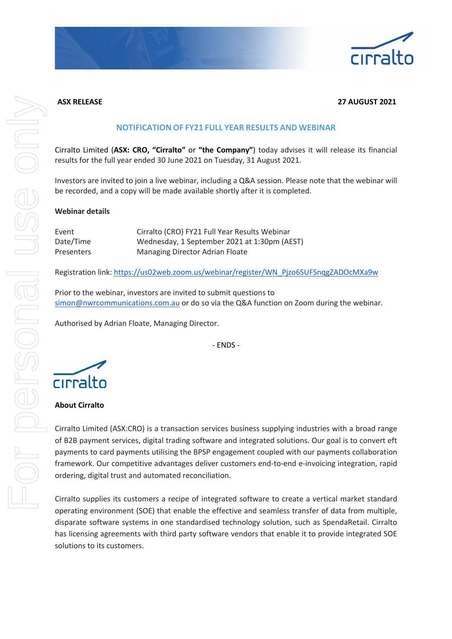

## **ASX RELEASE 27 AUGUST 2021**

## **NOTIFICATION OF FY21 FULL YEAR RESULTS AND WEBINAR**

Cirralto Limited (**ASX: CRO, "Cirralto"** or **"the Company"**) today advises it will release its financial results for the full year ended 30 June 2021 on Tuesday, 31 August 2021.

Investors are invited to join a live webinar, including a Q&A session. Please note that the webinar will be recorded, and a copy will be made available shortly after it is completed.

#### **Webinar details**

| Event      | Cirralto (CRO) FY21 Full Year Results Webinar |
|------------|-----------------------------------------------|
| Date/Time  | Wednesday, 1 September 2021 at 1:30pm (AEST)  |
| Presenters | Managing Director Adrian Floate               |

Registration link: https://us02web.zoom.us/webinar/register/WN\_Pjzo6SUFSnqgZADOcMXa9w

Prior to the webinar, investors are invited to submit questions to simon@nwrcommunications.com.au or do so via the Q&A function on Zoom during the webinar.

Authorised by Adrian Floate, Managing Director.

- ENDS -

cirralto

### **About Cirralto**

Cirralto Limited (ASX:CRO) is a transaction services business supplying industries with a broad range of B2B payment services, digital trading software and integrated solutions. Our goal is to convert eft payments to card payments utilising the BPSP engagement coupled with our payments collaboration framework. Our competitive advantages deliver customers end-to-end e-invoicing integration, rapid ordering, digital trust and automated reconciliation.

Cirralto supplies its customers a recipe of integrated software to create a vertical market standard operating environment (SOE) that enable the effective and seamless transfer of data from multiple, disparate software systems in one standardised technology solution, such as SpendaRetail. Cirralto has licensing agreements with third party software vendors that enable it to provide integrated SOE solutions to its customers.